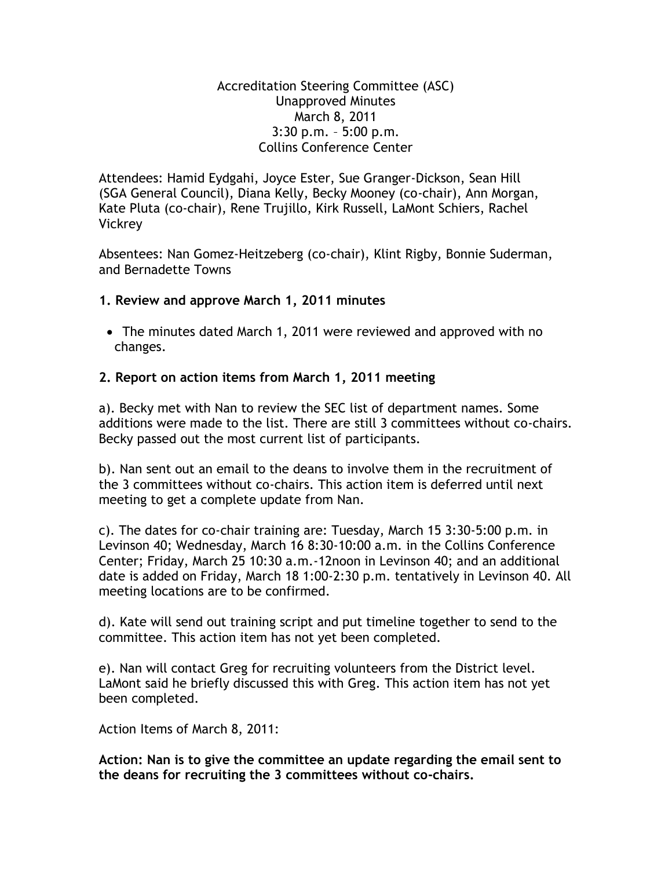#### Accreditation Steering Committee (ASC) Unapproved Minutes March 8, 2011 3:30 p.m. – 5:00 p.m. Collins Conference Center

Attendees: Hamid Eydgahi, Joyce Ester, Sue Granger-Dickson, Sean Hill (SGA General Council), Diana Kelly, Becky Mooney (co-chair), Ann Morgan, Kate Pluta (co-chair), Rene Trujillo, Kirk Russell, LaMont Schiers, Rachel **Vickrey** 

Absentees: Nan Gomez-Heitzeberg (co-chair), Klint Rigby, Bonnie Suderman, and Bernadette Towns

### **1. Review and approve March 1, 2011 minutes**

 The minutes dated March 1, 2011 were reviewed and approved with no changes.

### **2. Report on action items from March 1, 2011 meeting**

a). Becky met with Nan to review the SEC list of department names. Some additions were made to the list. There are still 3 committees without co-chairs. Becky passed out the most current list of participants.

b). Nan sent out an email to the deans to involve them in the recruitment of the 3 committees without co-chairs. This action item is deferred until next meeting to get a complete update from Nan.

c). The dates for co-chair training are: Tuesday, March 15 3:30-5:00 p.m. in Levinson 40; Wednesday, March 16 8:30-10:00 a.m. in the Collins Conference Center; Friday, March 25 10:30 a.m.-12noon in Levinson 40; and an additional date is added on Friday, March 18 1:00-2:30 p.m. tentatively in Levinson 40. All meeting locations are to be confirmed.

d). Kate will send out training script and put timeline together to send to the committee. This action item has not yet been completed.

e). Nan will contact Greg for recruiting volunteers from the District level. LaMont said he briefly discussed this with Greg. This action item has not yet been completed.

Action Items of March 8, 2011:

**Action: Nan is to give the committee an update regarding the email sent to the deans for recruiting the 3 committees without co-chairs.**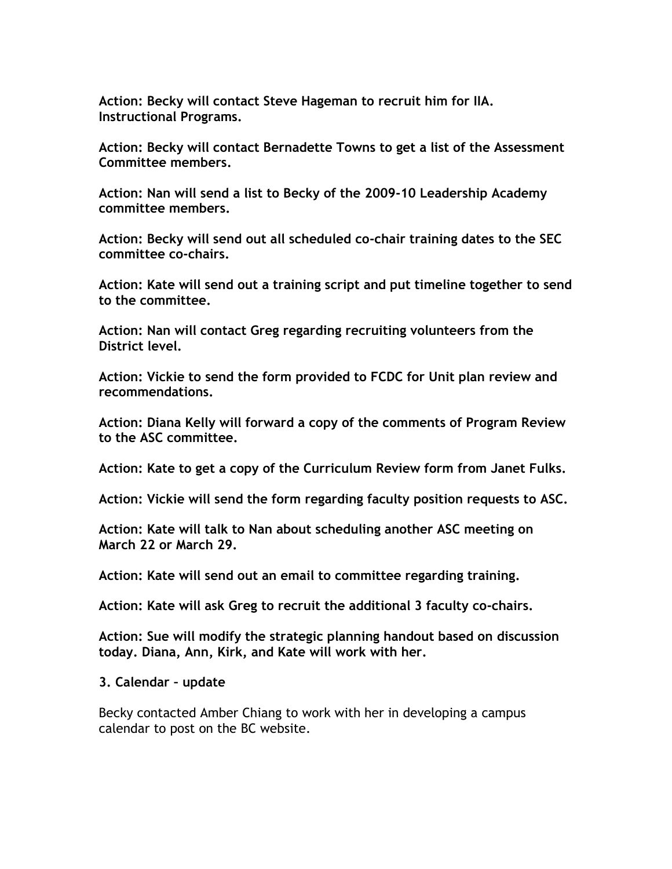**Action: Becky will contact Steve Hageman to recruit him for IIA. Instructional Programs.**

**Action: Becky will contact Bernadette Towns to get a list of the Assessment Committee members.**

**Action: Nan will send a list to Becky of the 2009-10 Leadership Academy committee members.**

**Action: Becky will send out all scheduled co-chair training dates to the SEC committee co-chairs.**

**Action: Kate will send out a training script and put timeline together to send to the committee.**

**Action: Nan will contact Greg regarding recruiting volunteers from the District level.**

**Action: Vickie to send the form provided to FCDC for Unit plan review and recommendations.**

**Action: Diana Kelly will forward a copy of the comments of Program Review to the ASC committee.**

**Action: Kate to get a copy of the Curriculum Review form from Janet Fulks.**

**Action: Vickie will send the form regarding faculty position requests to ASC.**

**Action: Kate will talk to Nan about scheduling another ASC meeting on March 22 or March 29.**

**Action: Kate will send out an email to committee regarding training.**

**Action: Kate will ask Greg to recruit the additional 3 faculty co-chairs.**

**Action: Sue will modify the strategic planning handout based on discussion today. Diana, Ann, Kirk, and Kate will work with her.**

#### **3. Calendar – update**

Becky contacted Amber Chiang to work with her in developing a campus calendar to post on the BC website.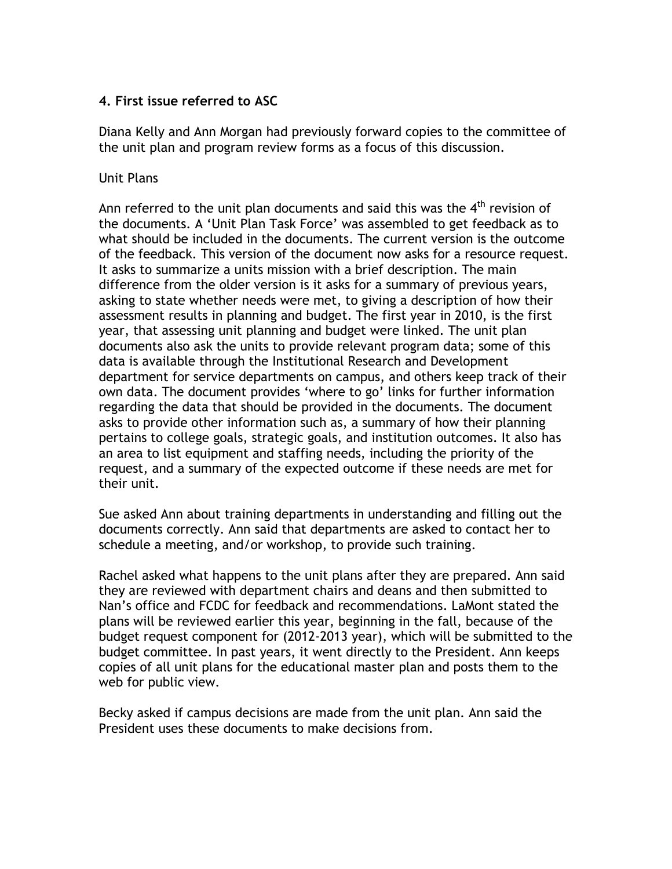## **4. First issue referred to ASC**

Diana Kelly and Ann Morgan had previously forward copies to the committee of the unit plan and program review forms as a focus of this discussion.

#### Unit Plans

Ann referred to the unit plan documents and said this was the  $4<sup>th</sup>$  revision of the documents. A 'Unit Plan Task Force' was assembled to get feedback as to what should be included in the documents. The current version is the outcome of the feedback. This version of the document now asks for a resource request. It asks to summarize a units mission with a brief description. The main difference from the older version is it asks for a summary of previous years, asking to state whether needs were met, to giving a description of how their assessment results in planning and budget. The first year in 2010, is the first year, that assessing unit planning and budget were linked. The unit plan documents also ask the units to provide relevant program data; some of this data is available through the Institutional Research and Development department for service departments on campus, and others keep track of their own data. The document provides 'where to go' links for further information regarding the data that should be provided in the documents. The document asks to provide other information such as, a summary of how their planning pertains to college goals, strategic goals, and institution outcomes. It also has an area to list equipment and staffing needs, including the priority of the request, and a summary of the expected outcome if these needs are met for their unit.

Sue asked Ann about training departments in understanding and filling out the documents correctly. Ann said that departments are asked to contact her to schedule a meeting, and/or workshop, to provide such training.

Rachel asked what happens to the unit plans after they are prepared. Ann said they are reviewed with department chairs and deans and then submitted to Nan's office and FCDC for feedback and recommendations. LaMont stated the plans will be reviewed earlier this year, beginning in the fall, because of the budget request component for (2012-2013 year), which will be submitted to the budget committee. In past years, it went directly to the President. Ann keeps copies of all unit plans for the educational master plan and posts them to the web for public view.

Becky asked if campus decisions are made from the unit plan. Ann said the President uses these documents to make decisions from.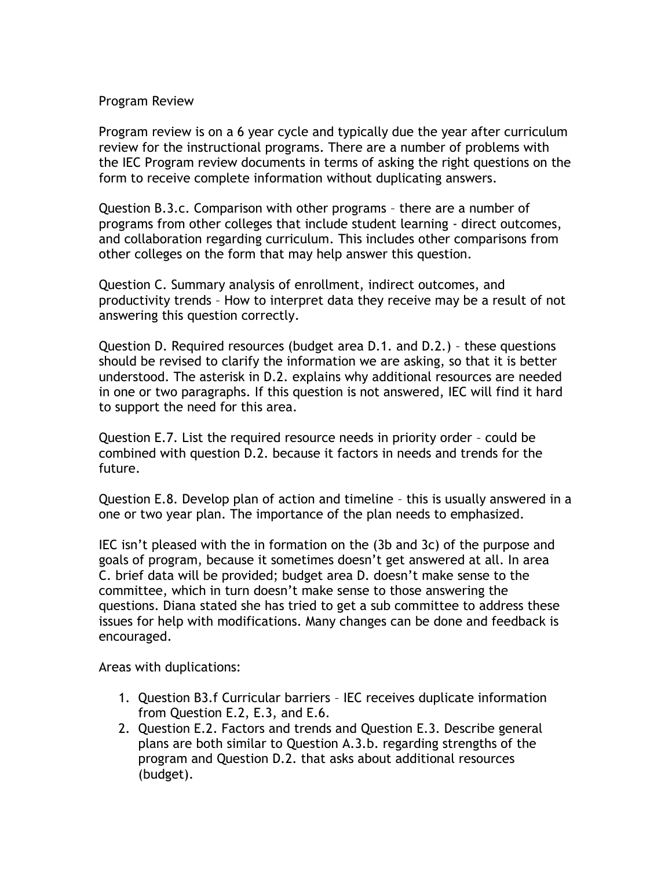#### Program Review

Program review is on a 6 year cycle and typically due the year after curriculum review for the instructional programs. There are a number of problems with the IEC Program review documents in terms of asking the right questions on the form to receive complete information without duplicating answers.

Question B.3.c. Comparison with other programs – there are a number of programs from other colleges that include student learning - direct outcomes, and collaboration regarding curriculum. This includes other comparisons from other colleges on the form that may help answer this question.

Question C. Summary analysis of enrollment, indirect outcomes, and productivity trends – How to interpret data they receive may be a result of not answering this question correctly.

Question D. Required resources (budget area D.1. and D.2.) – these questions should be revised to clarify the information we are asking, so that it is better understood. The asterisk in D.2. explains why additional resources are needed in one or two paragraphs. If this question is not answered, IEC will find it hard to support the need for this area.

Question E.7. List the required resource needs in priority order – could be combined with question D.2. because it factors in needs and trends for the future.

Question E.8. Develop plan of action and timeline – this is usually answered in a one or two year plan. The importance of the plan needs to emphasized.

IEC isn't pleased with the in formation on the (3b and 3c) of the purpose and goals of program, because it sometimes doesn't get answered at all. In area C. brief data will be provided; budget area D. doesn't make sense to the committee, which in turn doesn't make sense to those answering the questions. Diana stated she has tried to get a sub committee to address these issues for help with modifications. Many changes can be done and feedback is encouraged.

Areas with duplications:

- 1. Question B3.f Curricular barriers IEC receives duplicate information from Question E.2, E.3, and E.6.
- 2. Question E.2. Factors and trends and Question E.3. Describe general plans are both similar to Question A.3.b. regarding strengths of the program and Question D.2. that asks about additional resources (budget).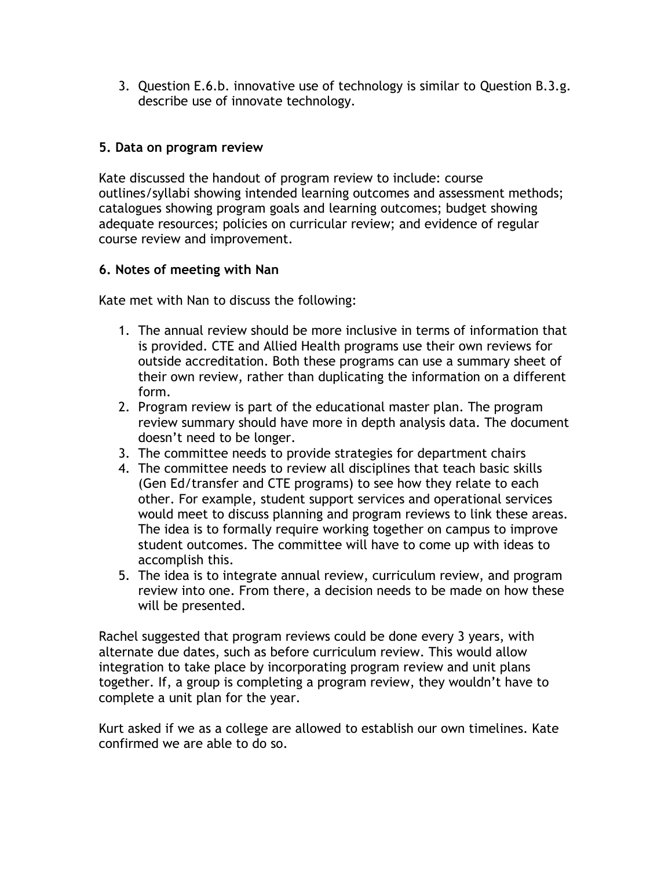3. Question E.6.b. innovative use of technology is similar to Question B.3.g. describe use of innovate technology.

## **5. Data on program review**

Kate discussed the handout of program review to include: course outlines/syllabi showing intended learning outcomes and assessment methods; catalogues showing program goals and learning outcomes; budget showing adequate resources; policies on curricular review; and evidence of regular course review and improvement.

# **6. Notes of meeting with Nan**

Kate met with Nan to discuss the following:

- 1. The annual review should be more inclusive in terms of information that is provided. CTE and Allied Health programs use their own reviews for outside accreditation. Both these programs can use a summary sheet of their own review, rather than duplicating the information on a different form.
- 2. Program review is part of the educational master plan. The program review summary should have more in depth analysis data. The document doesn't need to be longer.
- 3. The committee needs to provide strategies for department chairs
- 4. The committee needs to review all disciplines that teach basic skills (Gen Ed/transfer and CTE programs) to see how they relate to each other. For example, student support services and operational services would meet to discuss planning and program reviews to link these areas. The idea is to formally require working together on campus to improve student outcomes. The committee will have to come up with ideas to accomplish this.
- 5. The idea is to integrate annual review, curriculum review, and program review into one. From there, a decision needs to be made on how these will be presented.

Rachel suggested that program reviews could be done every 3 years, with alternate due dates, such as before curriculum review. This would allow integration to take place by incorporating program review and unit plans together. If, a group is completing a program review, they wouldn't have to complete a unit plan for the year.

Kurt asked if we as a college are allowed to establish our own timelines. Kate confirmed we are able to do so.